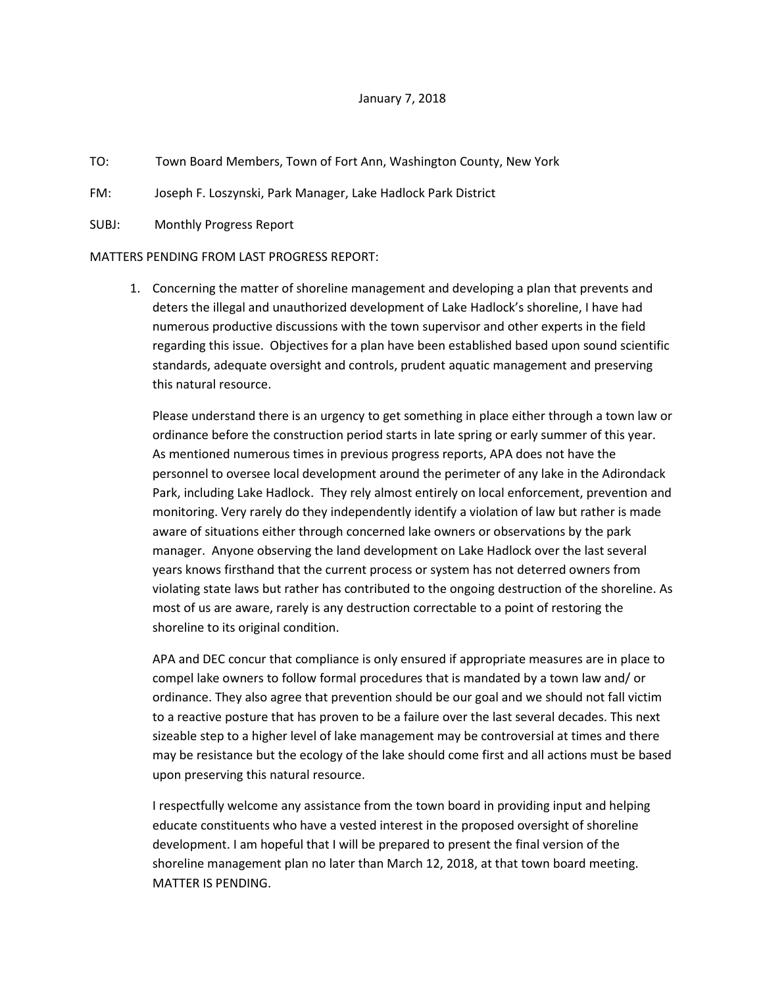## January 7, 2018

- TO: Town Board Members, Town of Fort Ann, Washington County, New York
- FM: Joseph F. Loszynski, Park Manager, Lake Hadlock Park District
- SUBJ: Monthly Progress Report

## MATTERS PENDING FROM LAST PROGRESS REPORT:

1. Concerning the matter of shoreline management and developing a plan that prevents and deters the illegal and unauthorized development of Lake Hadlock's shoreline, I have had numerous productive discussions with the town supervisor and other experts in the field regarding this issue. Objectives for a plan have been established based upon sound scientific standards, adequate oversight and controls, prudent aquatic management and preserving this natural resource.

Please understand there is an urgency to get something in place either through a town law or ordinance before the construction period starts in late spring or early summer of this year. As mentioned numerous times in previous progress reports, APA does not have the personnel to oversee local development around the perimeter of any lake in the Adirondack Park, including Lake Hadlock. They rely almost entirely on local enforcement, prevention and monitoring. Very rarely do they independently identify a violation of law but rather is made aware of situations either through concerned lake owners or observations by the park manager. Anyone observing the land development on Lake Hadlock over the last several years knows firsthand that the current process or system has not deterred owners from violating state laws but rather has contributed to the ongoing destruction of the shoreline. As most of us are aware, rarely is any destruction correctable to a point of restoring the shoreline to its original condition.

APA and DEC concur that compliance is only ensured if appropriate measures are in place to compel lake owners to follow formal procedures that is mandated by a town law and/ or ordinance. They also agree that prevention should be our goal and we should not fall victim to a reactive posture that has proven to be a failure over the last several decades. This next sizeable step to a higher level of lake management may be controversial at times and there may be resistance but the ecology of the lake should come first and all actions must be based upon preserving this natural resource.

I respectfully welcome any assistance from the town board in providing input and helping educate constituents who have a vested interest in the proposed oversight of shoreline development. I am hopeful that I will be prepared to present the final version of the shoreline management plan no later than March 12, 2018, at that town board meeting. MATTER IS PENDING.